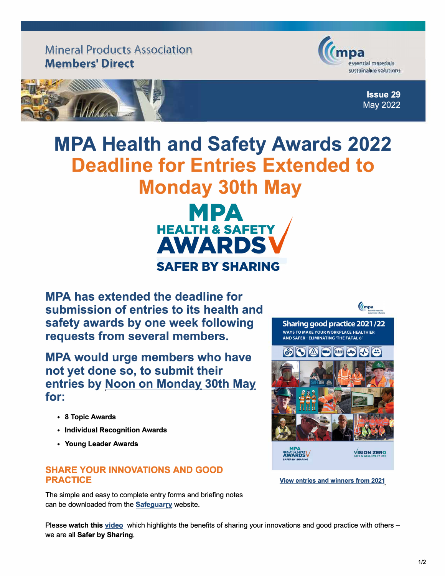Mineral Products Association Members' Direct



1,  $\vec{z}$ 

**;-i Issue 29**  May 2022

## **MPA Health and Safety Awards 2022 Deadline for Entries Extended to Monday 30th May**



**MPA has extended the deadline for submission of entries to its health and safety awards by one week following requests from several members.** 

**MPA would urge members who have not yet done so, to submit their entries by Noon on Monday 30th May. for:** 

- 8 Topic **Awards**
- **• Individual Recognition Awards**
- **• Young Leader Awards**

## **SHARE YOUR INNOVATIONS AND GOOD PRACTICE**

The simple and easy to complete entry forms and briefing notes can be downloaded from the **Safeguarry** website.



**[View entries and winners from 2021](https://www.safequarry.com/resources/Complete%20singles%202021.pdf)**

Please **watch this [video](https://www.youtube.com/watch?v=6n7eixSN7HM)** which highlights the benefits of sharing your innovations and good practice with others we are all **Safer** by **Sharing.**